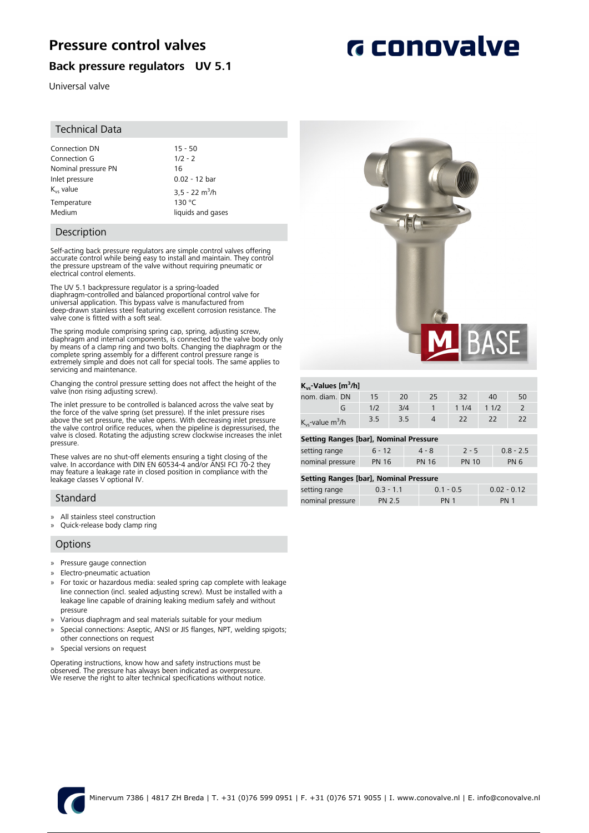# **Pressure control valves**

### **Back pressure regulators UV 5.1**

Universal valve

#### Technical Data

| Connection DN       | $15 - 50$                    |
|---------------------|------------------------------|
| Connection G        | $1/2 - 2$                    |
| Nominal pressure PN | 16                           |
| Inlet pressure      | $0.02 - 12$ bar              |
| $K_{vs}$ value      | $3.5 - 22$ m <sup>3</sup> /h |
| Temperature         | 130 °C                       |
| Medium              | liquids and gases            |

### Description

Self-acting back pressure regulators are simple control valves offering accurate control while being easy to install and maintain. They control the pressure upstream of the valve without requiring pneumatic or electrical control elements.

The UV 5.1 backpressure regulator is a spring-loaded diaphragm-controlled and balanced proportional control valve for universal application. This bypass valve is manufactured from deep-drawn stainless steel featuring excellent corrosion resistance. The

The spring module comprising spring cap, spring, adjusting screw, diaphragm and internal components, is connected to the valve body only by means of a clamp ring and two bolts. Changing the diaphragm or the complete spring assembly for a different control pressure range is extremely simple and does not call for special tools. The same applies to servicing and maintenance.

Changing the control pressure setting does not affect the height of the valve (non rising adjusting screw).

The inlet pressure to be controlled is balanced across the valve seat by the force of the valve spring (set pressure). If the inlet pressure rises<br>above the set pressure, the valve opens. With decreasing inlet pressure<br>the valve control orifice reduces, when the pipeline is depressurised, the valve is closed. Rotating the adjusting screw clockwise increases the inlet pressure.

These valves are no shut-off elements ensuring a tight closing of the valve. In accordance with DIN EN 60534-4 and/or ANSI FCI 70-2 they may feature a leakage rate in closed position in compliance with the leakage classes V optional IV.

### **Standard**

» All stainless steel construction

valve cone is fitted with a soft seal.

» Quick-release body clamp ring

### **Options**

- » Pressure gauge connection
- » Electro-pneumatic actuation
- » For toxic or hazardous media: sealed spring cap complete with leakage line connection (incl. sealed adjusting screw). Must be installed with a leakage line capable of draining leaking medium safely and without pressure
- » Various diaphragm and seal materials suitable for your medium
- Special connections: Aseptic, ANSI or JIS flanges, NPT, welding spigots; other connections on request
- » Special versions on request

Operating instructions, know how and safety instructions must be observed. The pressure has always been indicated as overpressure. We reserve the right to alter technical specifications without notice.



| $K_{\text{vs}}$ -Values [m <sup>3</sup> /h] |     |                     |     |                |                              |              |             |             |                |
|---------------------------------------------|-----|---------------------|-----|----------------|------------------------------|--------------|-------------|-------------|----------------|
| nom. diam. DN                               |     | 15                  | 20  |                | 25                           | 32           |             | 40          | 50             |
|                                             | G   | 1/2                 | 3/4 |                | 1                            | 11/4         |             | 11/2        | $\overline{2}$ |
| $K_{vs}$ -value m <sup>3</sup> /h           | 3.5 | 3.5                 |     | $\overline{4}$ | 22                           |              | 22          | 22          |                |
| Setting Ranges [bar], Nominal Pressure      |     |                     |     |                |                              |              |             |             |                |
| setting range                               |     | $6 - 12$<br>$4 - 8$ |     | $2 - 5$        |                              |              | $0.8 - 2.5$ |             |                |
| nominal pressure                            |     | <b>PN 16</b>        |     |                | <b>PN 16</b>                 | <b>PN 10</b> |             | <b>PN 6</b> |                |
| Setting Ranges [bar], Nominal Pressure      |     |                     |     |                |                              |              |             |             |                |
| setting range                               |     | $0.3 - 1.1$         |     |                | $0.1 - 0.5$<br>$0.02 - 0.12$ |              |             |             |                |

nominal pressure PN 2.5 PN 1 PN 1

# **G** conovalve